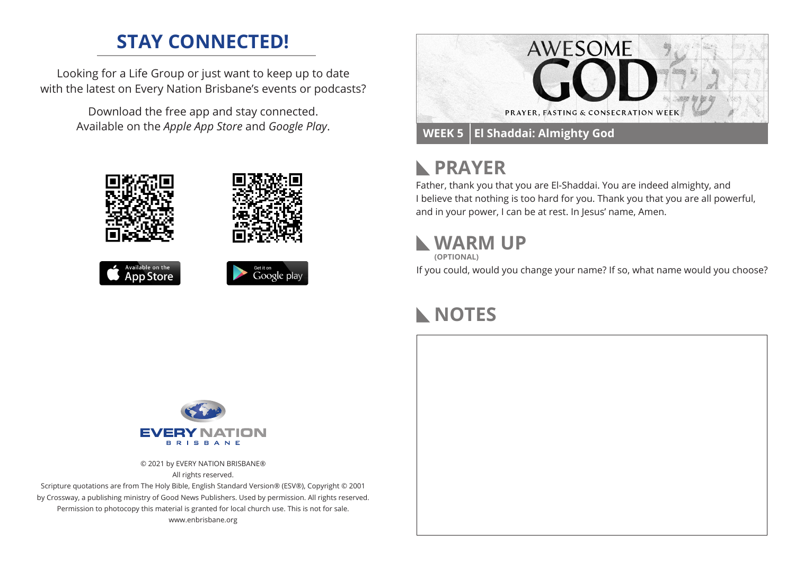## **STAY CONNECTED!**

Looking for a Life Group or just want to keep up to date with the latest on Every Nation Brisbane's events or podcasts?

> Download the free app and stay connected. Available on the *Apple App Store* and *Google Play*.











# **PRAYER**

Father, thank you that you are El-Shaddai. You are indeed almighty, and I believe that nothing is too hard for you. Thank you that you are all powerful, and in your power, I can be at rest. In Jesus' name, Amen.

## **WARM UP**

**(OPTIONAL)**

If you could, would you change your name? If so, what name would you choose?

## **NOTES**



© 2021 by EVERY NATION BRISBANE® All rights reserved.

Scripture quotations are from The Holy Bible, English Standard Version® (ESV®), Copyright © 2001 by Crossway, a publishing ministry of Good News Publishers. Used by permission. All rights reserved. Permission to photocopy this material is granted for local church use. This is not for sale. www.enbrisbane.org